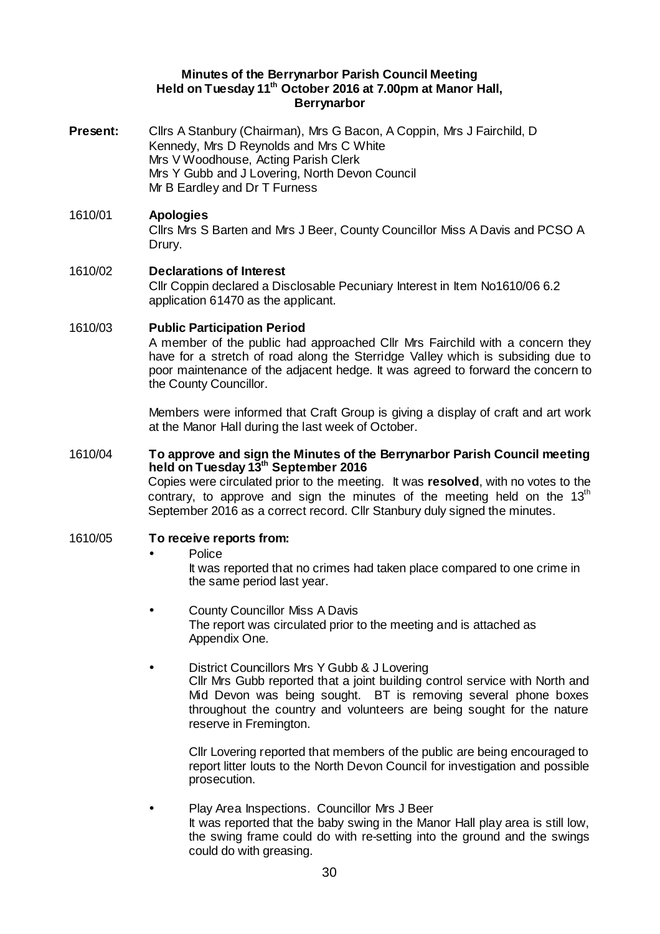### **Minutes of the Berrynarbor Parish Council Meeting Held on Tuesday 11th October 2016 at 7.00pm at Manor Hall, Berrynarbor**

- **Present:** Cllrs A Stanbury (Chairman), Mrs G Bacon, A Coppin, Mrs J Fairchild, D Kennedy, Mrs D Reynolds and Mrs C White Mrs V Woodhouse, Acting Parish Clerk Mrs Y Gubb and J Lovering, North Devon Council Mr B Eardley and Dr T Furness
- 1610/01 **Apologies**  Cllrs Mrs S Barten and Mrs J Beer, County Councillor Miss A Davis and PCSO A Drury.

# 1610/02 **Declarations of Interest**  Cllr Coppin declared a Disclosable Pecuniary Interest in Item No1610/06 6.2 application 61470 as the applicant.

## 1610/03 **Public Participation Period**

A member of the public had approached Cllr Mrs Fairchild with a concern they have for a stretch of road along the Sterridge Valley which is subsiding due to poor maintenance of the adjacent hedge. It was agreed to forward the concern to the County Councillor.

Members were informed that Craft Group is giving a display of craft and art work at the Manor Hall during the last week of October.

### 1610/04 **To approve and sign the Minutes of the Berrynarbor Parish Council meeting held on Tuesday 13th September 2016**

Copies were circulated prior to the meeting. It was **resolved**, with no votes to the contrary, to approve and sign the minutes of the meeting held on the  $13<sup>th</sup>$ September 2016 as a correct record. Cllr Stanbury duly signed the minutes.

## 1610/05 **To receive reports from:**

#### • Police

It was reported that no crimes had taken place compared to one crime in the same period last year.

- County Councillor Miss A Davis The report was circulated prior to the meeting and is attached as Appendix One.
- District Councillors Mrs Y Gubb & J Lovering

Cllr Mrs Gubb reported that a joint building control service with North and Mid Devon was being sought. BT is removing several phone boxes throughout the country and volunteers are being sought for the nature reserve in Fremington.

Cllr Lovering reported that members of the public are being encouraged to report litter louts to the North Devon Council for investigation and possible prosecution.

• Play Area Inspections. Councillor Mrs J Beer It was reported that the baby swing in the Manor Hall play area is still low, the swing frame could do with re-setting into the ground and the swings could do with greasing.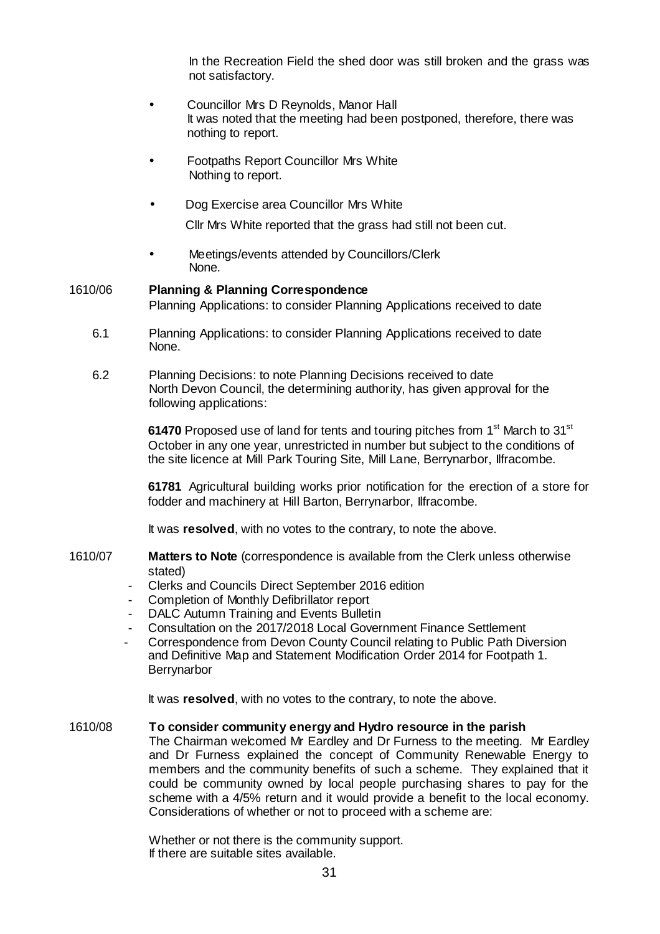In the Recreation Field the shed door was still broken and the grass was not satisfactory.

- Councillor Mrs D Reynolds, Manor Hall It was noted that the meeting had been postponed, therefore, there was nothing to report.
- Footpaths Report Councillor Mrs White Nothing to report.
- Dog Exercise area Councillor Mrs White

Cllr Mrs White reported that the grass had still not been cut.

Meetings/events attended by Councillors/Clerk None.

# 1610/06 **Planning & Planning Correspondence**  Planning Applications: to consider Planning Applications received to date

- 6.1 Planning Applications: to consider Planning Applications received to date None.
- 6.2 Planning Decisions: to note Planning Decisions received to date North Devon Council, the determining authority, has given approval for the following applications:

**61470** Proposed use of land for tents and touring pitches from 1<sup>st</sup> March to 31<sup>st</sup> October in any one year, unrestricted in number but subject to the conditions of the site licence at Mill Park Touring Site, Mill Lane, Berrynarbor, Ilfracombe.

**61781** Agricultural building works prior notification for the erection of a store for fodder and machinery at Hill Barton, Berrynarbor, Ilfracombe.

It was **resolved**, with no votes to the contrary, to note the above.

- 1610/07 **Matters to Note** (correspondence is available from the Clerk unless otherwise stated)
	- Clerks and Councils Direct September 2016 edition
	- Completion of Monthly Defibrillator report
	- DALC Autumn Training and Events Bulletin
	- Consultation on the 2017/2018 Local Government Finance Settlement
	- Correspondence from Devon County Council relating to Public Path Diversion and Definitive Map and Statement Modification Order 2014 for Footpath 1. **Berrynarbor**

It was **resolved**, with no votes to the contrary, to note the above.

# 1610/08 **To consider community energy and Hydro resource in the parish**

The Chairman welcomed Mr Eardley and Dr Furness to the meeting. Mr Eardley and Dr Furness explained the concept of Community Renewable Energy to members and the community benefits of such a scheme. They explained that it could be community owned by local people purchasing shares to pay for the scheme with a 4/5% return and it would provide a benefit to the local economy. Considerations of whether or not to proceed with a scheme are:

Whether or not there is the community support. If there are suitable sites available.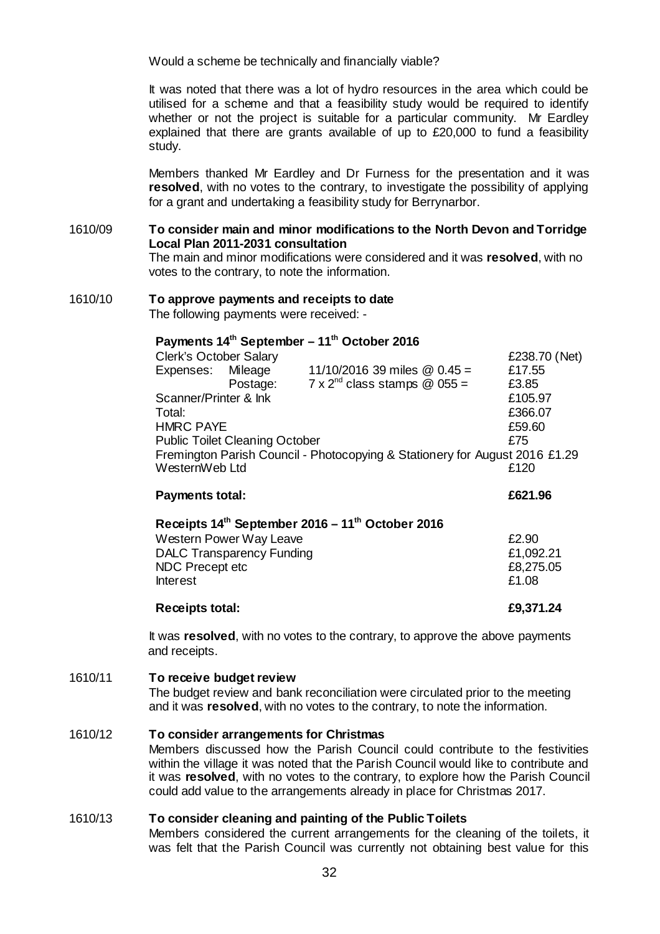Would a scheme be technically and financially viable?

It was noted that there was a lot of hydro resources in the area which could be utilised for a scheme and that a feasibility study would be required to identify whether or not the project is suitable for a particular community. Mr Eardley explained that there are grants available of up to £20,000 to fund a feasibility study.

Members thanked Mr Eardley and Dr Furness for the presentation and it was **resolved**, with no votes to the contrary, to investigate the possibility of applying for a grant and undertaking a feasibility study for Berrynarbor.

1610/09 **To consider main and minor modifications to the North Devon and Torridge Local Plan 2011-2031 consultation**  The main and minor modifications were considered and it was **resolved**, with no votes to the contrary, to note the information.

#### 1610/10 **To approve payments and receipts to date**  The following payments were received: -

# **Payments 14th September – 11th October 2016**

| <b>Clerk's October Salary</b>                                               | £238.70 (Net) |                                        |         |
|-----------------------------------------------------------------------------|---------------|----------------------------------------|---------|
| Expenses: Mileage                                                           |               | 11/10/2016 39 miles @ $0.45 =$         | £17.55  |
|                                                                             | Postage:      | $7 \times 2^{nd}$ class stamps @ 055 = | £3.85   |
| Scanner/Printer & Ink                                                       |               |                                        | £105.97 |
| Total:                                                                      |               |                                        | £366.07 |
| <b>HMRC PAYE</b>                                                            | £59.60        |                                        |         |
| <b>Public Toilet Cleaning October</b>                                       |               |                                        | £75     |
| Fremington Parish Council - Photocopying & Stationery for August 2016 £1.29 |               |                                        |         |
| WesternWeb Ltd                                                              |               |                                        | £120    |
| <b>Payments total:</b>                                                      |               |                                        | £621.96 |

# **Receipts 14th September 2016 – 11th October 2016**  Western Power Way Leave **EXAMPLE 2008** E2.90 DALC Transparency Funding **Example 21,092.21** NDC Precept etc  $E8,275.05$ <br>Interest  $f1.08$ Interest E1.08

# **Receipts total: £9,371.24**

It was **resolved**, with no votes to the contrary, to approve the above payments and receipts.

## 1610/11 **To receive budget review**

The budget review and bank reconciliation were circulated prior to the meeting and it was **resolved**, with no votes to the contrary, to note the information.

## 1610/12 **To consider arrangements for Christmas**

Members discussed how the Parish Council could contribute to the festivities within the village it was noted that the Parish Council would like to contribute and it was **resolved**, with no votes to the contrary, to explore how the Parish Council could add value to the arrangements already in place for Christmas 2017.

#### 1610/13 **To consider cleaning and painting of the Public Toilets**

Members considered the current arrangements for the cleaning of the toilets, it was felt that the Parish Council was currently not obtaining best value for this